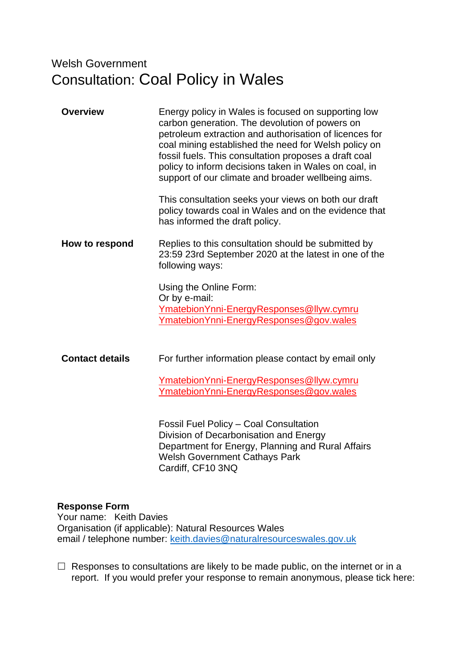# Welsh Government Consultation: Coal Policy in Wales

| <b>Overview</b>        | Energy policy in Wales is focused on supporting low<br>carbon generation. The devolution of powers on<br>petroleum extraction and authorisation of licences for<br>coal mining established the need for Welsh policy on<br>fossil fuels. This consultation proposes a draft coal<br>policy to inform decisions taken in Wales on coal, in<br>support of our climate and broader wellbeing aims.<br>This consultation seeks your views on both our draft |
|------------------------|---------------------------------------------------------------------------------------------------------------------------------------------------------------------------------------------------------------------------------------------------------------------------------------------------------------------------------------------------------------------------------------------------------------------------------------------------------|
|                        | policy towards coal in Wales and on the evidence that<br>has informed the draft policy.                                                                                                                                                                                                                                                                                                                                                                 |
| How to respond         | Replies to this consultation should be submitted by<br>23:59 23rd September 2020 at the latest in one of the<br>following ways:                                                                                                                                                                                                                                                                                                                         |
|                        | Using the Online Form:<br>Or by e-mail:<br>Ymatebion Ynni-Energy Responses@llyw.cymru<br>YmatebionYnni-EnergyResponses@gov.wales                                                                                                                                                                                                                                                                                                                        |
| <b>Contact details</b> | For further information please contact by email only                                                                                                                                                                                                                                                                                                                                                                                                    |
|                        | <u>YmatebionYnni-EnergyResponses@llyw.cymru</u><br>Ymatebion Ynni-Energy Responses@gov.wales                                                                                                                                                                                                                                                                                                                                                            |
|                        | Fossil Fuel Policy - Coal Consultation<br>Division of Decarbonisation and Energy<br>Department for Energy, Planning and Rural Affairs<br><b>Welsh Government Cathays Park</b><br>Cardiff, CF10 3NQ                                                                                                                                                                                                                                                      |

# **Response Form**

Your name: Keith Davies Organisation (if applicable): Natural Resources Wales email / telephone number: [keith.davies@naturalresourceswales.gov.uk](mailto:keith.davies@naturalresourceswales.gov.uk)

 $\Box$  Responses to consultations are likely to be made public, on the internet or in a report. If you would prefer your response to remain anonymous, please tick here: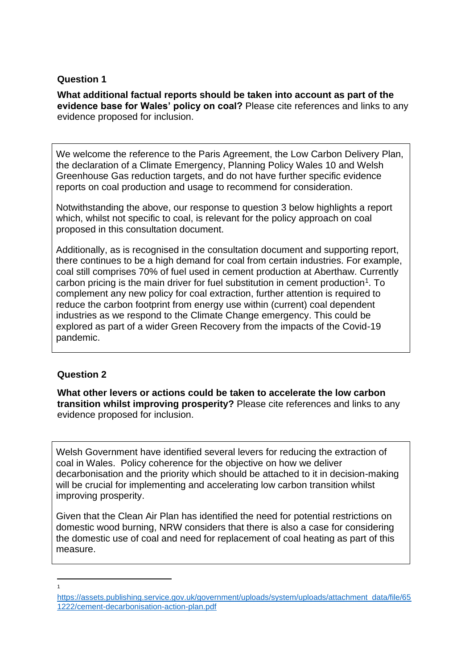# **Question 1**

**What additional factual reports should be taken into account as part of the evidence base for Wales' policy on coal?** Please cite references and links to any evidence proposed for inclusion.

We welcome the reference to the Paris Agreement, the Low Carbon Delivery Plan, the declaration of a Climate Emergency, Planning Policy Wales 10 and Welsh Greenhouse Gas reduction targets, and do not have further specific evidence reports on coal production and usage to recommend for consideration.

Notwithstanding the above, our response to question 3 below highlights a report which, whilst not specific to coal, is relevant for the policy approach on coal proposed in this consultation document.

Additionally, as is recognised in the consultation document and supporting report, there continues to be a high demand for coal from certain industries. For example, coal still comprises 70% of fuel used in cement production at Aberthaw. Currently carbon pricing is the main driver for fuel substitution in cement production<sup>1</sup>. To complement any new policy for coal extraction, further attention is required to reduce the carbon footprint from energy use within (current) coal dependent industries as we respond to the Climate Change emergency. This could be explored as part of a wider Green Recovery from the impacts of the Covid-19 pandemic.

# **Question 2**

**What other levers or actions could be taken to accelerate the low carbon transition whilst improving prosperity?** Please cite references and links to any evidence proposed for inclusion.

Welsh Government have identified several levers for reducing the extraction of coal in Wales. Policy coherence for the objective on how we deliver decarbonisation and the priority which should be attached to it in decision-making will be crucial for implementing and accelerating low carbon transition whilst improving prosperity.

Given that the Clean Air Plan has identified the need for potential restrictions on domestic wood burning, NRW considers that there is also a case for considering the domestic use of coal and need for replacement of coal heating as part of this measure.

1

[https://assets.publishing.service.gov.uk/government/uploads/system/uploads/attachment\\_data/file/65](https://assets.publishing.service.gov.uk/government/uploads/system/uploads/attachment_data/file/651222/cement-decarbonisation-action-plan.pdf) [1222/cement-decarbonisation-action-plan.pdf](https://assets.publishing.service.gov.uk/government/uploads/system/uploads/attachment_data/file/651222/cement-decarbonisation-action-plan.pdf)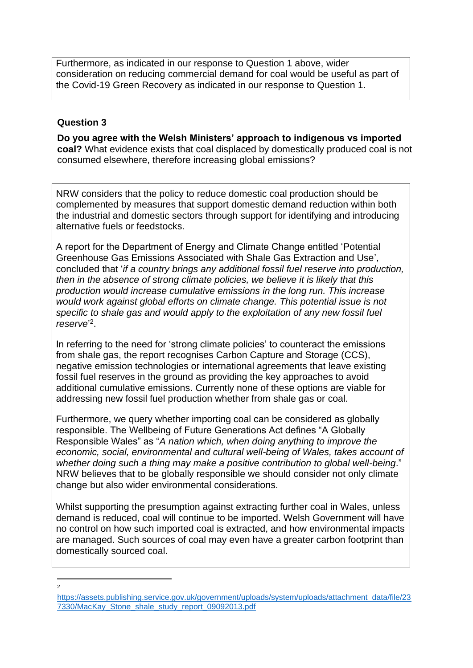Furthermore, as indicated in our response to Question 1 above, wider consideration on reducing commercial demand for coal would be useful as part of the Covid-19 Green Recovery as indicated in our response to Question 1.

## **Question 3**

**Do you agree with the Welsh Ministers' approach to indigenous vs imported coal?** What evidence exists that coal displaced by domestically produced coal is not consumed elsewhere, therefore increasing global emissions?

NRW considers that the policy to reduce domestic coal production should be complemented by measures that support domestic demand reduction within both the industrial and domestic sectors through support for identifying and introducing alternative fuels or feedstocks.

A report for the Department of Energy and Climate Change entitled 'Potential Greenhouse Gas Emissions Associated with Shale Gas Extraction and Use', concluded that '*if a country brings any additional fossil fuel reserve into production, then in the absence of strong climate policies, we believe it is likely that this production would increase cumulative emissions in the long run. This increase would work against global efforts on climate change. This potential issue is not specific to shale gas and would apply to the exploitation of any new fossil fuel reserve*' 2 .

In referring to the need for 'strong climate policies' to counteract the emissions from shale gas, the report recognises Carbon Capture and Storage (CCS), negative emission technologies or international agreements that leave existing fossil fuel reserves in the ground as providing the key approaches to avoid additional cumulative emissions. Currently none of these options are viable for addressing new fossil fuel production whether from shale gas or coal.

Furthermore, we query whether importing coal can be considered as globally responsible. The Wellbeing of Future Generations Act defines "A Globally Responsible Wales" as "*A nation which, when doing anything to improve the economic, social, environmental and cultural well-being of Wales, takes account of whether doing such a thing may make a positive contribution to global well-being*." NRW believes that to be globally responsible we should consider not only climate change but also wider environmental considerations.

Whilst supporting the presumption against extracting further coal in Wales, unless demand is reduced, coal will continue to be imported. Welsh Government will have no control on how such imported coal is extracted, and how environmental impacts are managed. Such sources of coal may even have a greater carbon footprint than domestically sourced coal.

 $\overline{2}$ 

[https://assets.publishing.service.gov.uk/government/uploads/system/uploads/attachment\\_data/file/23](https://assets.publishing.service.gov.uk/government/uploads/system/uploads/attachment_data/file/237330/MacKay_Stone_shale_study_report_09092013.pdf) [7330/MacKay\\_Stone\\_shale\\_study\\_report\\_09092013.pdf](https://assets.publishing.service.gov.uk/government/uploads/system/uploads/attachment_data/file/237330/MacKay_Stone_shale_study_report_09092013.pdf)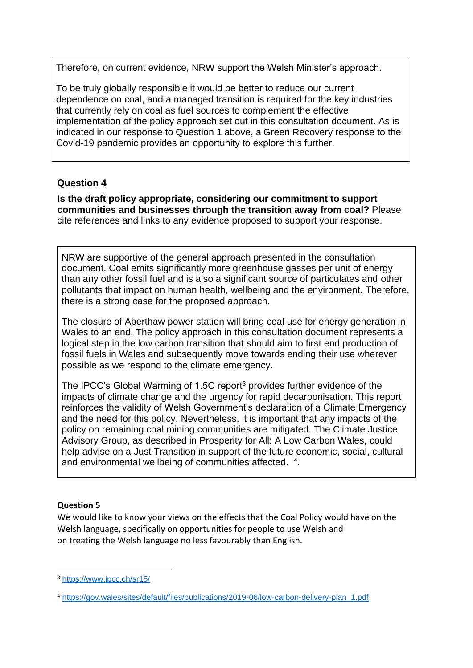Therefore, on current evidence, NRW support the Welsh Minister's approach.

To be truly globally responsible it would be better to reduce our current dependence on coal, and a managed transition is required for the key industries that currently rely on coal as fuel sources to complement the effective implementation of the policy approach set out in this consultation document. As is indicated in our response to Question 1 above, a Green Recovery response to the Covid-19 pandemic provides an opportunity to explore this further.

# **Question 4**

**Is the draft policy appropriate, considering our commitment to support communities and businesses through the transition away from coal?** Please cite references and links to any evidence proposed to support your response.

NRW are supportive of the general approach presented in the consultation document. Coal emits significantly more greenhouse gasses per unit of energy than any other fossil fuel and is also a significant source of particulates and other pollutants that impact on human health, wellbeing and the environment. Therefore, there is a strong case for the proposed approach.

The closure of Aberthaw power station will bring coal use for energy generation in Wales to an end. The policy approach in this consultation document represents a logical step in the low carbon transition that should aim to first end production of fossil fuels in Wales and subsequently move towards ending their use wherever possible as we respond to the climate emergency.

The IPCC's Global Warming of 1.5C report<sup>3</sup> provides further evidence of the impacts of climate change and the urgency for rapid decarbonisation. This report reinforces the validity of Welsh Government's declaration of a Climate Emergency and the need for this policy. Nevertheless, it is important that any impacts of the policy on remaining coal mining communities are mitigated. The Climate Justice Advisory Group, as described in Prosperity for All: A Low Carbon Wales, could help advise on a Just Transition in support of the future economic, social, cultural and environmental wellbeing of communities affected. <sup>4</sup>.

# **Question 5**

We would like to know your views on the effects that the Coal Policy would have on the Welsh language, specifically on opportunities for people to use Welsh and on treating the Welsh language no less favourably than English.

<sup>3</sup> <https://www.ipcc.ch/sr15/>

<sup>4</sup> [https://gov.wales/sites/default/files/publications/2019-06/low-carbon-delivery-plan\\_1.pdf](https://gov.wales/sites/default/files/publications/2019-06/low-carbon-delivery-plan_1.pdf)